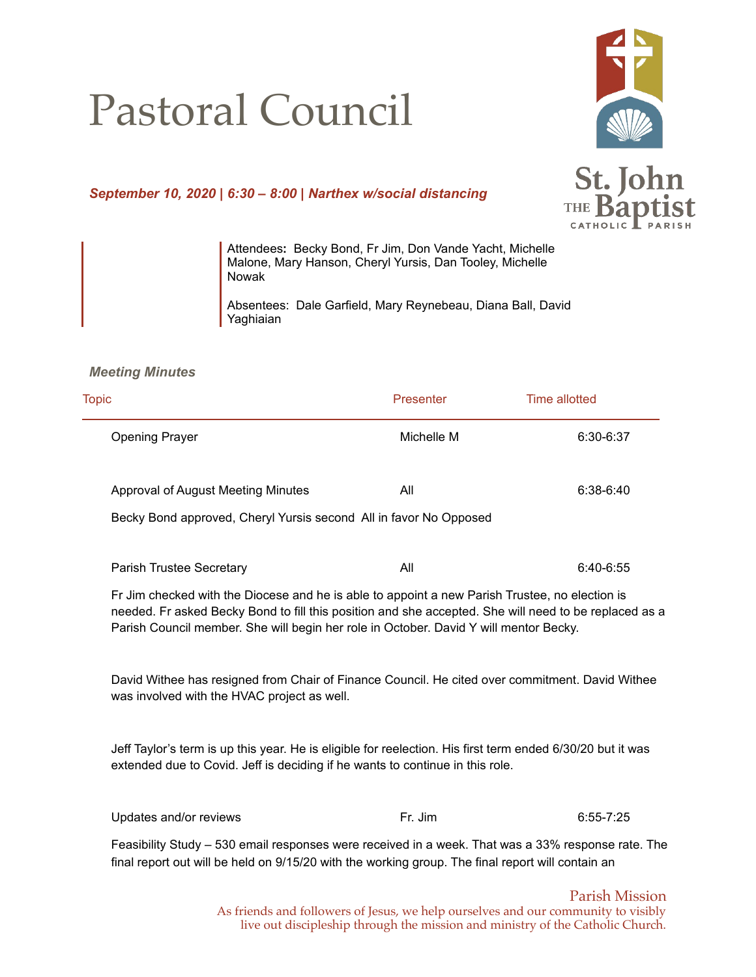# Pastoral Council



# *September 10, 2020 | 6:30 – 8:00 | Narthex w/social distancing*



Attendees**:** Becky Bond, Fr Jim, Don Vande Yacht, Michelle Malone, Mary Hanson, Cheryl Yursis, Dan Tooley, Michelle Nowak

Absentees: Dale Garfield, Mary Reynebeau, Diana Ball, David Yaghiaian

#### *Meeting Minutes*

| <b>Topic</b>                                                                                                                                                                                                                                                                                     | Presenter  | <b>Time allotted</b> |
|--------------------------------------------------------------------------------------------------------------------------------------------------------------------------------------------------------------------------------------------------------------------------------------------------|------------|----------------------|
| <b>Opening Prayer</b>                                                                                                                                                                                                                                                                            | Michelle M | 6:30-6:37            |
| <b>Approval of August Meeting Minutes</b>                                                                                                                                                                                                                                                        | All        | 6:38-6:40            |
| Becky Bond approved, Cheryl Yursis second All in favor No Opposed                                                                                                                                                                                                                                |            |                      |
| Parish Trustee Secretary                                                                                                                                                                                                                                                                         | All        | 6:40-6:55            |
| Fr Jim checked with the Diocese and he is able to appoint a new Parish Trustee, no election is<br>needed. Fr asked Becky Bond to fill this position and she accepted. She will need to be replaced as a<br>Parish Council member. She will begin her role in October. David Y will mentor Becky. |            |                      |
| David Withee has resigned from Chair of Finance Council. He cited over commitment. David Withee<br>was involved with the HVAC project as well.                                                                                                                                                   |            |                      |
| Jeff Taylor's term is up this year. He is eligible for reelection. His first term ended 6/30/20 but it was<br>extended due to Covid. Jeff is deciding if he wants to continue in this role.                                                                                                      |            |                      |
| Updates and/or reviews                                                                                                                                                                                                                                                                           | Fr. Jim    | $6:55 - 7:25$        |
| Feasibility Study - 530 email responses were received in a week. That was a 33% response rate. The<br>final report out will be held on 9/15/20 with the working group. The final report will contain an                                                                                          |            |                      |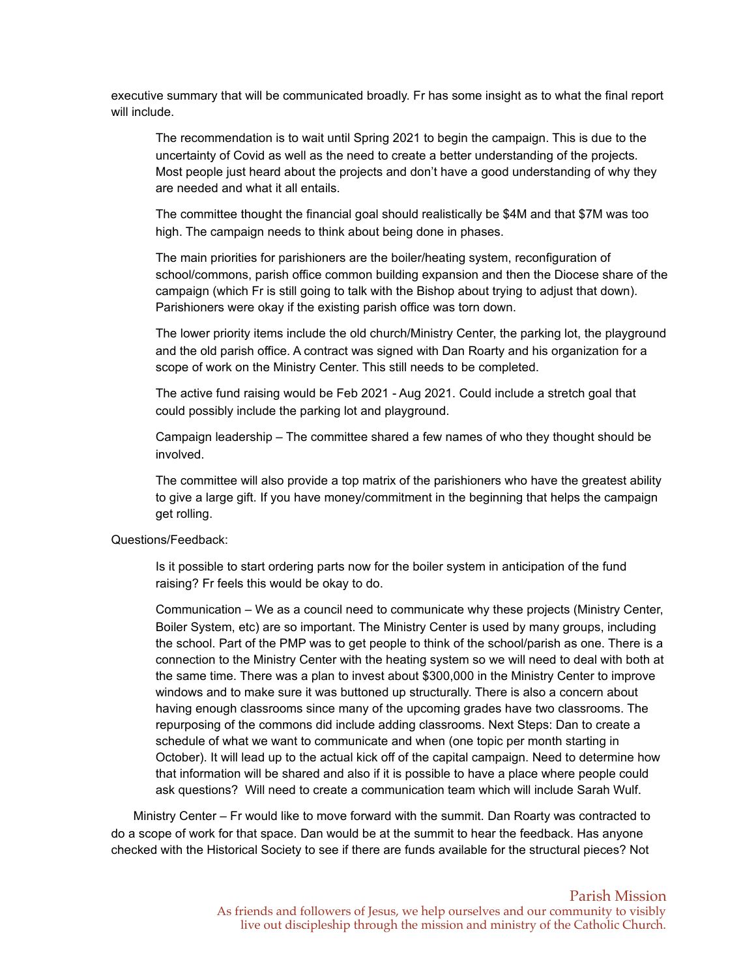executive summary that will be communicated broadly. Fr has some insight as to what the final report will include.

The recommendation is to wait until Spring 2021 to begin the campaign. This is due to the uncertainty of Covid as well as the need to create a better understanding of the projects. Most people just heard about the projects and don't have a good understanding of why they are needed and what it all entails.

The committee thought the financial goal should realistically be \$4M and that \$7M was too high. The campaign needs to think about being done in phases.

The main priorities for parishioners are the boiler/heating system, reconfiguration of school/commons, parish office common building expansion and then the Diocese share of the campaign (which Fr is still going to talk with the Bishop about trying to adjust that down). Parishioners were okay if the existing parish office was torn down.

The lower priority items include the old church/Ministry Center, the parking lot, the playground and the old parish office. A contract was signed with Dan Roarty and his organization for a scope of work on the Ministry Center. This still needs to be completed.

The active fund raising would be Feb 2021 - Aug 2021. Could include a stretch goal that could possibly include the parking lot and playground.

Campaign leadership – The committee shared a few names of who they thought should be involved.

The committee will also provide a top matrix of the parishioners who have the greatest ability to give a large gift. If you have money/commitment in the beginning that helps the campaign get rolling.

Questions/Feedback:

Is it possible to start ordering parts now for the boiler system in anticipation of the fund raising? Fr feels this would be okay to do.

Communication – We as a council need to communicate why these projects (Ministry Center, Boiler System, etc) are so important. The Ministry Center is used by many groups, including the school. Part of the PMP was to get people to think of the school/parish as one. There is a connection to the Ministry Center with the heating system so we will need to deal with both at the same time. There was a plan to invest about \$300,000 in the Ministry Center to improve windows and to make sure it was buttoned up structurally. There is also a concern about having enough classrooms since many of the upcoming grades have two classrooms. The repurposing of the commons did include adding classrooms. Next Steps: Dan to create a schedule of what we want to communicate and when (one topic per month starting in October). It will lead up to the actual kick off of the capital campaign. Need to determine how that information will be shared and also if it is possible to have a place where people could ask questions? Will need to create a communication team which will include Sarah Wulf.

Ministry Center – Fr would like to move forward with the summit. Dan Roarty was contracted to do a scope of work for that space. Dan would be at the summit to hear the feedback. Has anyone checked with the Historical Society to see if there are funds available for the structural pieces? Not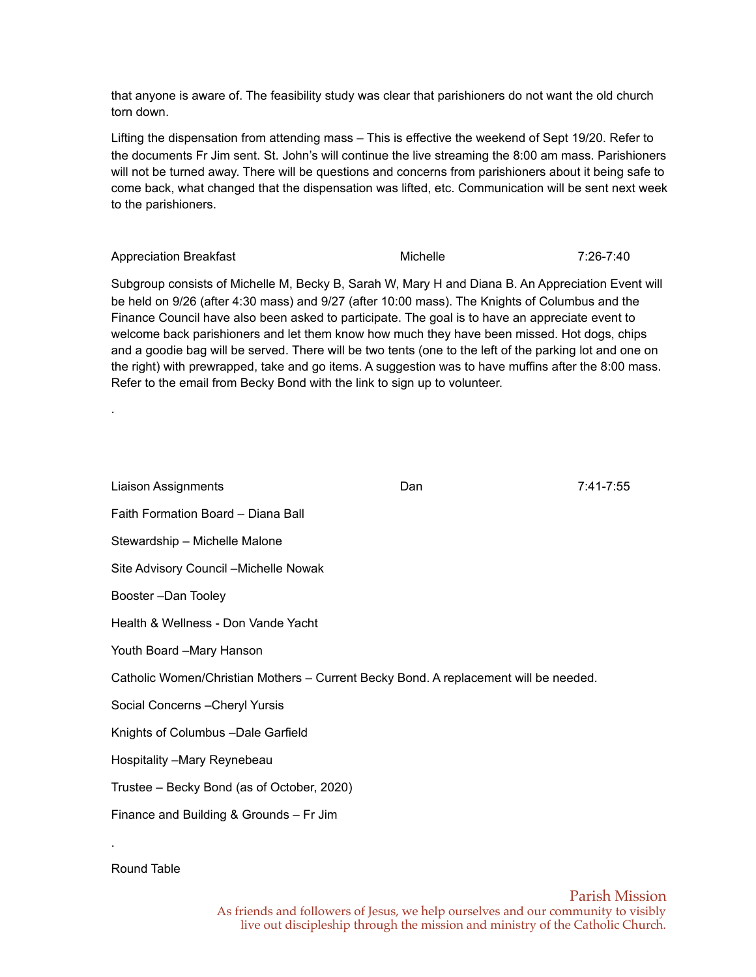that anyone is aware of. The feasibility study was clear that parishioners do not want the old church torn down.

Lifting the dispensation from attending mass – This is effective the weekend of Sept 19/20. Refer to the documents Fr Jim sent. St. John's will continue the live streaming the 8:00 am mass. Parishioners will not be turned away. There will be questions and concerns from parishioners about it being safe to come back, what changed that the dispensation was lifted, etc. Communication will be sent next week to the parishioners.

Appreciation Breakfast Michelle Michelle 7:26-7:40 Subgroup consists of Michelle M, Becky B, Sarah W, Mary H and Diana B. An Appreciation Event will be held on 9/26 (after 4:30 mass) and 9/27 (after 10:00 mass). The Knights of Columbus and the Finance Council have also been asked to participate. The goal is to have an appreciate event to welcome back parishioners and let them know how much they have been missed. Hot dogs, chips and a goodie bag will be served. There will be two tents (one to the left of the parking lot and one on the right) with prewrapped, take and go items. A suggestion was to have muffins after the 8:00 mass. Refer to the email from Becky Bond with the link to sign up to volunteer.

| <b>Liaison Assignments</b>                                                           | Dan | 7:41-7:55 |  |  |
|--------------------------------------------------------------------------------------|-----|-----------|--|--|
| Faith Formation Board - Diana Ball                                                   |     |           |  |  |
| Stewardship - Michelle Malone                                                        |     |           |  |  |
| Site Advisory Council - Michelle Nowak                                               |     |           |  |  |
| Booster-Dan Tooley                                                                   |     |           |  |  |
| Health & Wellness - Don Vande Yacht                                                  |     |           |  |  |
| Youth Board -Mary Hanson                                                             |     |           |  |  |
| Catholic Women/Christian Mothers - Current Becky Bond. A replacement will be needed. |     |           |  |  |
| Social Concerns - Cheryl Yursis                                                      |     |           |  |  |
| Knights of Columbus - Dale Garfield                                                  |     |           |  |  |
| Hospitality - Mary Reynebeau                                                         |     |           |  |  |
| Trustee - Becky Bond (as of October, 2020)                                           |     |           |  |  |
| Finance and Building & Grounds - Fr Jim                                              |     |           |  |  |

.

.